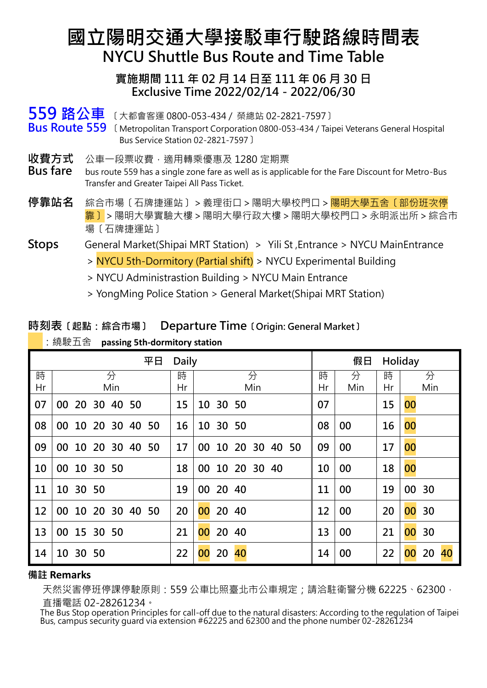# **國立陽明交通大學接駁車行駛路線時間表 NYCU Shuttle Bus Route and Time Table**

### **實施期間 111 年 02 月 14 日至 111 年 06 月 30 日 Exclusive Time 2022/02/14-2022/06/30**

**559 路公車** 〔大都會客運 0800-053-434 / 榮總站 02-2821-7597〕 **Bus Route 559** 〔Metropolitan Transport Corporation 0800-053-434 / Taipei Veterans General Hospital Bus Service Station 02-2821-7597〕

- **收費方式** 公車一段票收費,適用轉乘優惠及 1280 定期票
- **Bus fare** bus route 559 has a single zone fare as well as is applicable for the Fare Discount for Metro-Bus Transfer and Greater Taipei All Pass Ticket.
- **停靠站名** 綜合市場〔石牌捷運站〕>義理街口>陽明大學校門口>陽明大學五舍〔部份班次停 靠〕>陽明大學實驗大樓>陽明大學行政大樓>陽明大學校門口>永明派出所>綜合市 場〔石牌捷運站〕
- **Stops** General Market(Shipai MRT Station) > Yili St ,Entrance > NYCU MainEntrance
	- > NYCU 5th-Dormitory (Partial shift) > NYCU Experimental Building
	- > NYCU Administrastion Building > NYCU Main Entrance
	- > YongMing Police Station > General Market(Shipai MRT Station)

### **時刻表〔起點:綜合市場〕 Departure Time〔Origin: General Market〕**

|    | 平日                   | 假日<br>Holiday |                      |    |     |    |                |
|----|----------------------|---------------|----------------------|----|-----|----|----------------|
| 時  | 分                    | 時             | 分                    | 時  | 分   | 時  | 分              |
| Hr | Min                  | Hr            | Min                  | Hr | Min | Hr | Min            |
| 07 | 20 30 40 50<br>00    | 15            | 10 30 50             | 07 |     | 15 | 00             |
| 08 | 10 20 30 40 50<br>00 | 16            | 10<br>30 50          | 08 | 00  | 16 | 00             |
| 09 | 00 10 20 30 40 50    | 17            | 10 20 30 40 50<br>00 | 09 | 00  | 17 | 00             |
| 10 | 10 30 50<br>00       | 18            | 10 20 30 40<br>00    | 10 | 00  | 18 | 00             |
| 11 | 10 30 50             | 19            | 00 20 40             | 11 | 00  | 19 | 00 30          |
| 12 | 00 10 20 30 40 50    | 20            | 00<br>20 40          | 12 | 00  | 20 | 00<br>30       |
| 13 | 00 15 30 50          | 21            | 00<br>20 40          | 13 | 00  | 21 | 00<br>30       |
| 14 | 10 30 50             | 22            | 00<br>20<br>40       | 14 | 00  | 22 | 20<br>40<br>00 |

:繞駛五舍 **passing 5th-dormitory station**

### **備註 Remarks**

天然災害停班停課停駛原則:559 公車比照臺北市公車規定;請洽駐衛警分機 62225、62300, 直播電話 02-28261234。

 The Bus Stop operation Principles for call-off due to the natural disasters: According to the regulation of Taipei Bus, campus security quard via extension #62225 and 62300 and the phone number 02-28261234